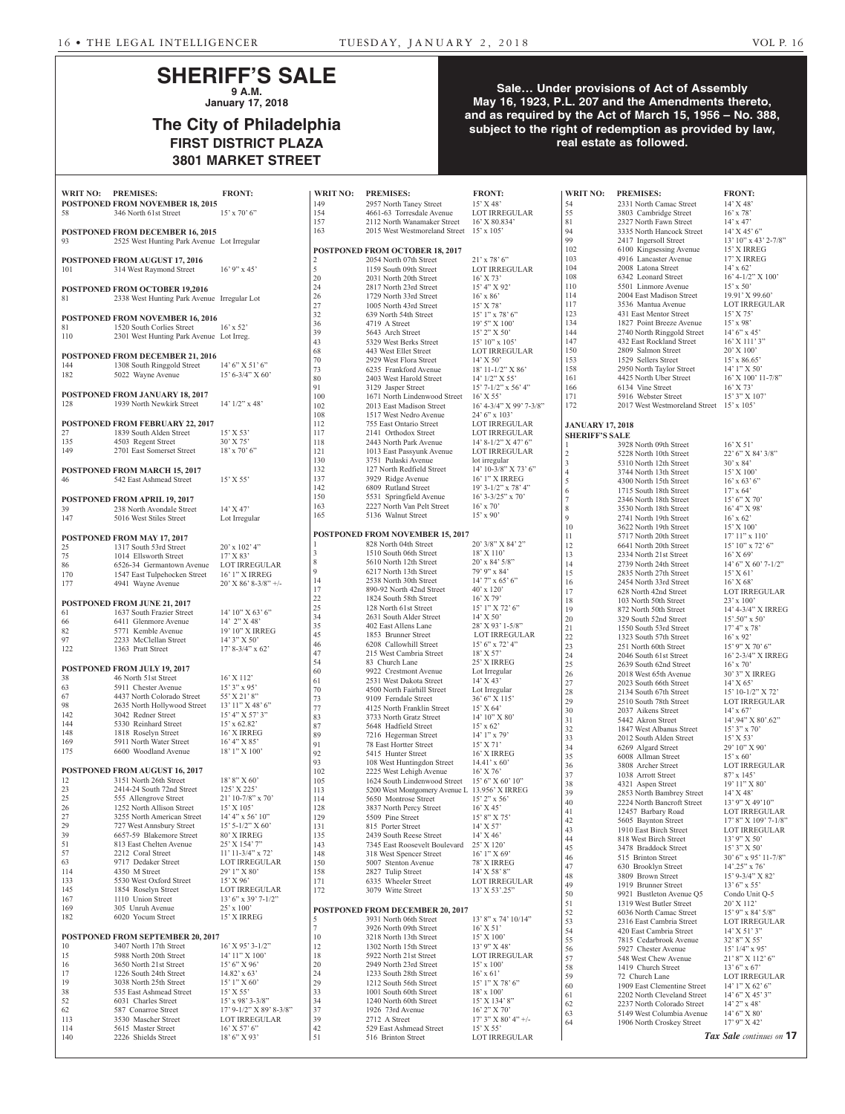## **SHERIFF'S SALE 9 A.M.**

**January 17, 2018**

# **The City of Philadelphia FIRST DISTRICT PLAZA 3801 MARKET STREET**

## **Sale… Under provisions of Act of Assembly May 16, 1923, P.L. 207 and the Amendments thereto, and as required by the Act of March 15, 1956 – No. 388, subject to the right of redemption as provided by law, real estate as followed.**

| <b>WRIT NO: PREMISES:</b> |                                                                    | <b>FRONT:</b>                            | <b>WRIT NO:</b> | <b>PREMISES:</b>                                         | <b>FRONT:</b>                                  | <b>WRIT NO:</b>                       | <b>PREMISES:</b>                                        | <b>FRONT:</b>                                       |
|---------------------------|--------------------------------------------------------------------|------------------------------------------|-----------------|----------------------------------------------------------|------------------------------------------------|---------------------------------------|---------------------------------------------------------|-----------------------------------------------------|
|                           | <b>POSTPONED FROM NOVEMBER 18, 2015</b>                            |                                          | 149             | 2957 North Taney Street                                  | $15'$ X 48'                                    | 54                                    | 2331 North Camac Street                                 | $14'$ X 48'                                         |
| 58                        | 346 North 61st Street                                              | $15'$ x 70' 6"                           | 154<br>157      | 4661-63 Torresdale Avenue<br>2112 North Wanamaker Street | <b>LOT IRREGULAR</b><br>16' X 80.834'          | 55<br>81                              | 3803 Cambridge Street                                   | $16'$ x 78'                                         |
|                           | <b>POSTPONED FROM DECEMBER 16, 2015</b>                            |                                          | 163             | 2015 West Westmoreland Street 15' x 105'                 |                                                | 94                                    | 2327 North Fawn Street<br>3335 North Hancock Street     | $14' \times 47'$<br>$14'$ X 45' 6"                  |
| 93                        | 2525 West Hunting Park Avenue Lot Irregular                        |                                          |                 |                                                          |                                                | 99                                    | 2417 Ingersoll Street                                   | $13'$ 10" x 43' 2-7/8"                              |
|                           |                                                                    |                                          |                 | POSTPONED FROM OCTOBER 18, 2017                          |                                                | 102                                   | 6100 Kingsessing Avenue                                 | 15' X IRREG                                         |
|                           | <b>POSTPONED FROM AUGUST 17, 2016</b>                              |                                          | 2               | 2054 North 07th Street                                   | $21'$ x 78' 6"                                 | 103                                   | 4916 Lancaster Avenue                                   | 17' X IRREG                                         |
| 101                       | 314 West Raymond Street                                            | $16'$ 9" x 45'                           | 5<br>20         | 1159 South 09th Street                                   | <b>LOT IRREGULAR</b>                           | 104<br>108                            | 2008 Latona Street<br>6342 Leonard Street               | $14' \times 62'$<br>$16' 4 - 1/2''$ X $100'$        |
|                           | <b>POSTPONED FROM OCTOBER 19,2016</b>                              |                                          | 24              | 2031 North 20th Street<br>2817 North 23rd Street         | $16'$ X 73'<br>15' 4'' X 92'                   | 110                                   | 5501 Linmore Avenue                                     | $15' \times 50'$                                    |
| 81                        | 2338 West Hunting Park Avenue Irregular Lot                        |                                          | 26              | 1729 North 33rd Street                                   | $16'$ x 86'                                    | 114                                   | 2004 East Madison Street                                | 19.91' X 99.60'                                     |
|                           |                                                                    |                                          | 27              | 1005 North 43rd Street                                   | $15'$ X 78'                                    | 117                                   | 3536 Mantua Avenue                                      | LOT IRREGULAR                                       |
|                           | <b>POSTPONED FROM NOVEMBER 16, 2016</b>                            |                                          | 32              | 639 North 54th Street                                    | $15'1''$ x 78' 6"                              | 123                                   | 431 East Mentor Street                                  | $15'$ X 75'                                         |
| 81                        | 1520 South Corlies Street                                          | $16'$ x 52'                              | 36<br>39        | 4719 A Street<br>5643 Arch Street                        | $19'5''$ X $100'$<br>$15'$ 2" X 50"            | 134<br>144                            | 1827 Point Breeze Avenue<br>2740 North Ringgold Street  | $15'$ x 98'<br>$14'6''$ x 45'                       |
| 110                       | 2301 West Hunting Park Avenue Lot Irreg.                           |                                          | 43              | 5329 West Berks Street                                   | $15'$ 10" x 105"                               | 147                                   | 432 East Rockland Street                                | $16'$ X $111'$ 3"                                   |
|                           |                                                                    |                                          | 68              | 443 West Ellet Street                                    | <b>LOT IRREGULAR</b>                           | 150                                   | 2809 Salmon Street                                      | 20' X 100'                                          |
| 144                       | POSTPONED FROM DECEMBER 21, 2016<br>1308 South Ringgold Street     | $14'6''$ X 51' 6"                        | 70              | 2929 West Flora Street                                   | $14'$ X 50'                                    | 153                                   | 1529 Sellers Street                                     | $15'$ x 86.65'                                      |
| 182                       | 5022 Wayne Avenue                                                  | $15' 6 - 3/4'' X 60'$                    | 73              | 6235 Frankford Avenue                                    | $18' 11 - 1/2''$ X 86'                         | 158<br>161                            | 2950 North Taylor Street                                | $14'1''$ X 50'                                      |
|                           |                                                                    |                                          | 80<br>91        | 2403 West Harold Street<br>3129 Jasper Street            | 14' 1/2" X 55'<br>$15'$ 7-1/2" x 56' 4"        | 166                                   | 4425 North Uber Street<br>6134 Vine Street              | 16' X 100' 11-7/8"<br>$16'$ X 73'                   |
|                           | <b>POSTPONED FROM JANUARY 18, 2017</b>                             |                                          | 100             | 1671 North Lindenwood Street                             | $16'$ X 55'                                    | 171                                   | 5916 Webster Street                                     | 15' 3" X 107'                                       |
| 128                       | 1939 North Newkirk Street                                          | $14'$ $1/2''$ x $48'$                    | 102             | 2013 East Madison Street                                 | 16' 4-3/4" X 99' 7-3/8"                        | 172                                   | 2017 West Westmoreland Street 15' x 105'                |                                                     |
|                           |                                                                    |                                          | 108             | 1517 West Nedro Avenue                                   | $24'6''$ x 103'                                |                                       |                                                         |                                                     |
| 27                        | <b>POSTPONED FROM FEBRUARY 22, 2017</b><br>1839 South Alden Street | $15'$ X 53'                              | 112<br>117      | 755 East Ontario Street<br>2141 Orthodox Street          | <b>LOT IRREGULAR</b><br><b>LOT IRREGULAR</b>   | <b>JANUARY 17, 2018</b>               |                                                         |                                                     |
| 135                       | 4503 Regent Street                                                 | 30' X 75'                                | 118             | 2443 North Park Avenue                                   | $14'$ 8-1/2" X 47' 6"                          | <b>SHERIFF'S SALE</b><br>$\mathbf{1}$ |                                                         |                                                     |
| 149                       | 2701 East Somerset Street                                          | $18'$ x 70' 6"                           | 121             | 1013 East Passyunk Avenue                                | LOT IRREGULAR                                  | $\sqrt{2}$                            | 3928 North 09th Street<br>5228 North 10th Street        | $16'$ X 51'<br>22' 6" X 84' 3/8"                    |
|                           |                                                                    |                                          | 130             | 3751 Pulaski Avenue                                      | lot irregular                                  | $\overline{3}$                        | 5310 North 12th Street                                  | $30'$ x $84'$                                       |
|                           | POSTPONED FROM MARCH 15, 2017                                      |                                          | 132             | 127 North Redfield Street                                | 14' 10-3/8" X 73' 6"                           | $\overline{4}$                        | 3744 North 13th Street                                  | $15'$ X $100'$                                      |
| 46                        | 542 East Ashmead Street                                            | 15' X 55'                                | 137<br>142      | 3929 Ridge Avenue                                        | 16' 1" X IRREG                                 | 5                                     | 4300 North 15th Street                                  | $16'$ x 63' 6"                                      |
|                           |                                                                    |                                          | 150             | 6809 Rutland Street<br>5531 Springfield Avenue           | $19'3 - 1/2''$ x 78' 4"<br>$16'$ 3-3/25" x 70" | 6                                     | 1715 South 18th Street                                  | $17'$ x 64'                                         |
| 39                        | <b>POSTPONED FROM APRIL 19, 2017</b><br>238 North Avondale Street  | 14' X 47'                                | 163             | 2227 North Van Pelt Street                               | $16'$ x 70'                                    | $\overline{7}$<br>$\,$ 8 $\,$         | 2346 North 18th Street<br>3530 North 18th Street        | 15' 6''  X 70'<br>16' 4'' X 98'                     |
| 147                       | 5016 West Stiles Street                                            | Lot Irregular                            | 165             | 5136 Walnut Street                                       | $15'$ x 90'                                    | $\mathbf Q$                           | 2741 North 19th Street                                  | $16'$ x 62'                                         |
|                           |                                                                    |                                          |                 |                                                          |                                                | 10                                    | 3622 North 19th Street                                  | $15'$ X $100'$                                      |
|                           | <b>POSTPONED FROM MAY 17, 2017</b>                                 |                                          |                 | <b>POSTPONED FROM NOVEMBER 15, 2017</b>                  |                                                | 11                                    | 5717 North 20th Street                                  | $17'$ $11''$ x $110'$                               |
| 25                        | 1317 South 53rd Street                                             | $20'$ x $102'$ 4"                        | 3               | 828 North 04th Street<br>1510 South 06th Street          | 20' 3/8" X 84' 2"<br>18' X 110'                | 12                                    | 6641 North 20th Street                                  | $15' 10''$ x 72' 6"                                 |
| $75\,$                    | 1014 Ellsworth Street                                              | $17'$ X 83'                              | 8               | 5610 North 12th Street                                   | $20'$ x 84' $5/8$ "                            | 13<br>14                              | 2334 North 21st Street<br>2739 North 24th Street        | $16'$ X 69'<br>$14'$ 6" X 60' 7-1/2"                |
| 86<br>170                 | 6526-34 Germantown Avenue<br>1547 East Tulpehocken Street          | LOT IRREGULAR<br>16' 1" X IRREG          | $\mathbf Q$     | 6217 North 13th Street                                   | 79' 9" x 84'                                   | 15                                    | 2835 North 27th Street                                  | $15'$ X 61 <sup>3</sup>                             |
| 177                       | 4941 Wayne Avenue                                                  | $20'$ X 86' 8-3/8" +/-                   | 14              | 2538 North 30th Street                                   | $14'7''$ x 65' 6"                              | 16                                    | 2454 North 33rd Street                                  | $16'$ X 68'                                         |
|                           |                                                                    |                                          | 17              | 890-92 North 42nd Street                                 | $40'$ x $120'$                                 | 17                                    | 628 North 42nd Street                                   | <b>LOT IRREGULAR</b>                                |
|                           | POSTPONED FROM JUNE 21, 2017                                       |                                          | 22<br>25        | 1824 South 58th Street<br>128 North 61st Street          | $16'$ X 79'<br>15' 1" X 72' 6"                 | 18                                    | 103 North 50th Street                                   | $23'$ x $100'$                                      |
| 61                        | 1637 South Frazier Street                                          | $14'$ 10" X 63' 6"                       | 34              | 2631 South Alder Street                                  | $14'$ X 50'                                    | 19<br>20                              | 872 North 50th Street<br>329 South 52nd Street          | 14' 4-3/4" X IRREG<br>$15^{\circ}.50^{\circ}$ x 50' |
| 66                        | 6411 Glenmore Avenue                                               | $14'$ 2" X 48'                           | 35              | 402 East Allens Lane                                     | 28' X 93' 1-5/8"                               | 21                                    | 1550 South 53rd Street                                  | $17' 4''$ x 78'                                     |
| 82<br>97                  | 5771 Kemble Avenue<br>2233 McClellan Street                        | 19' 10" X IRREG<br>14' 3" X 50'          | 45              | 1853 Brunner Street                                      | <b>LOT IRREGULAR</b>                           | $22\,$                                | 1323 South 57th Street                                  | $16'$ x 92'                                         |
| 122                       | 1363 Pratt Street                                                  | $17' 8 - 3/4''$ x 62'                    | 46              | 6208 Callowhill Street                                   | $15'6''$ x 72' 4"                              | 23                                    | 251 North 60th Street                                   | $15'$ 9" X 70' 6"                                   |
|                           |                                                                    |                                          | 47<br>54        | 215 West Cambria Street<br>83 Church Lane                | 18' X 57'<br>25' X IRREG                       | 24                                    | 2046 South 61st Street                                  | 16' 2-3/4" X IRREG                                  |
|                           | POSTPONED FROM JULY 19, 2017                                       |                                          | 60              | 9922 Crestmont Avenue                                    | Lot Irregular                                  | 25<br>$26\,$                          | 2639 South 62nd Street<br>2018 West 65th Avenue         | $16'$ x 70'                                         |
| 38                        | 46 North 51st Street                                               | 16' X 112'                               | 61              | 2531 West Dakota Street                                  | $14'$ X 43'                                    | 27                                    | 2023 South 66th Street                                  | 30' 3" X IRREG<br>$14'$ X 65'                       |
| 63                        | 5911 Chester Avenue                                                | $15'3''$ x 95'                           | 70              | 4500 North Fairhill Street                               | Lot Irregular                                  | $28\,$                                | 2134 South 67th Street                                  | 15' 10-1/2" X 72'                                   |
| 67<br>98                  | 4437 North Colorado Street<br>2635 North Hollywood Street          | 55' X 21' 8"<br>$13'$ 11" X 48' 6"       | 73              | 9109 Ferndale Street                                     | 36' 6" X 115'                                  | 29                                    | 2510 South 78th Street                                  | LOT IRREGULAR                                       |
| 142                       | 3042 Redner Street                                                 | $15'$ 4" X 57' 3"                        | 77<br>83        | 4125 North Franklin Street<br>3733 North Gratz Street    | $15'$ X 64'<br>$14' 10''$ X 80'                | 30                                    | 2037 Aikens Street                                      | $14' \times 67'$                                    |
| 144                       | 5330 Reinhard Street                                               | $15'$ x 62.82                            | 87              | 5648 Hadfield Street                                     | $15'$ x 62'                                    | 31<br>$32\,$                          | 5442 Akron Street<br>1847 West Albanus Street           | 14'.94" X 80'.62"<br>$15'3''$ x 70'                 |
| 148                       | 1818 Roselyn Street                                                | 16' X IRREG                              | 89              | 7216 Hegerman Street                                     | $14'1''$ x 79'                                 | 33                                    | 2012 South Alden Street                                 | $15'$ X 53'                                         |
| 169                       | 5911 North Water Street                                            | 16' 4" X 85'<br>18' 1" X 100'            | 91              | 78 East Hortter Street                                   | $15'$ X 71'                                    | 34                                    | 6269 Algard Street                                      | 29' 10" X 90'                                       |
| 175                       | 6600 Woodland Avenue                                               |                                          | 92              | 5415 Hunter Street                                       | 16' X IRREG                                    | 35                                    | 6008 Allman Street                                      | $15' \times 60'$                                    |
|                           | POSTPONED FROM AUGUST 16, 2017                                     |                                          | 93<br>102       | 108 West Huntingdon Street<br>2225 West Lehigh Avenue    | $14.41' \times 60'$<br>$16'$ X 76'             | 36                                    | 3808 Archer Street                                      | <b>LOT IRREGULAR</b>                                |
| 12                        | 3151 North 26th Street                                             | $18'$ $8''$ $X$ $60'$                    | 105             | 1624 South Lindenwood Street                             | 15' 6" X 60' 10"                               | 37<br>38                              | 1038 Arrott Street                                      | $87' \times 145'$                                   |
| 23                        | 2414-24 South 72nd Street                                          | 125' X 225'                              | 113             | 5200 West Montgomery Avenue L 13.956' X IRREG            |                                                | 39                                    | 4321 Aspen Street<br>2853 North Bambrey Street          | 19' 11" X 80'<br>$14'$ X 48'                        |
| 25                        | 555 Allengrove Street                                              | $21'$ 10-7/8" x 70"                      | 114             | 5650 Montrose Street                                     | $15'$ 2" x 56'                                 | 40                                    | 2224 North Bancroft Street                              | $13'$ 9" X 49'10"                                   |
| 26<br>27                  | 1252 North Allison Street<br>3255 North American Street            | $15'$ X $105'$<br>$14' 4''$ x 56' $10''$ | 128<br>129      | 3837 North Percy Street                                  | $16'$ X 45'<br>15' 8" X 75'                    | 41                                    | 12457 Barbary Road                                      | LOT IRREGULAR                                       |
| 29                        | 727 West Annsbury Street                                           | $15'$ 5-1/2" X 60'                       | 131             | 5509 Pine Street<br>815 Porter Street                    | $14'$ X 57'                                    | 42                                    | 5605 Baynton Street                                     | 17' 8" X 109' 7-1/8"                                |
| 39                        | 6657-59 Blakemore Street                                           | 80' X IRREG                              | 135             | 2439 South Reese Street                                  | $14'$ X 46'                                    | 43                                    | 1910 East Birch Street                                  | LOT IRREGULAR                                       |
| 51                        | 813 East Chelten Avenue                                            | 25' X 154' 7"                            | 143             | 7345 East Roosevelt Boulevard                            | $25'$ X 120'                                   | 44<br>45                              | 818 West Birch Street<br>3478 Braddock Street           | $13'$ 9" X 50"<br>$15'3''$ X 50'                    |
| 57                        | 2212 Coral Street                                                  | $11'$ 11-3/4" x 72'                      | 148             | 318 West Spencer Street                                  | $16'1''$ X 69'                                 | 46                                    | 515 Brinton Street                                      | $30'$ 6" x 95' 11-7/8"                              |
| 63<br>114                 | 9717 Dedaker Street<br>4350 M Street                               | LOT IRREGULAR<br>29' 1" X 80'            | 150<br>158      | 5007 Stenton Avenue                                      | 78' X IRREG<br>14' X 58' 8"                    | 47                                    | 630 Brooklyn Street                                     | $14'$ .25" x 76"                                    |
| 133                       | 5530 West Oxford Street                                            | $15'$ X 96'                              | 171             | 2827 Tulip Street<br>6335 Wheeler Street                 | LOT IRREGULAR                                  | 48                                    | 3809 Brown Street                                       | 15' 9-3/4" X 82'                                    |
| 145                       | 1854 Roselyn Street                                                | <b>LOT IRREGULAR</b>                     | 172             | 3079 Witte Street                                        | $13'$ X 53'.25"                                | 49                                    | 1919 Brunner Street                                     | $13'$ 6" x 55"                                      |
| 167                       | 1110 Union Street                                                  | $13'$ 6" x 39' 7-1/2"                    |                 |                                                          |                                                | 50<br>51                              | 9921 Bustleton Avenue Q5<br>1319 West Butler Street     | Condo Unit Q-5<br>20' X 112'                        |
| 169                       | 305 Unruh Avenue                                                   | 25' x 100'                               |                 | POSTPONED FROM DECEMBER 20, 2017                         |                                                | 52                                    | 6036 North Camac Street                                 | $15'$ 9" x 84' 5/8"                                 |
| 182                       | 6020 Yocum Street                                                  | 15' X IRREG                              | 5               | 3931 North 06th Street                                   | $13'8''$ x 74' $10/14''$                       | 53                                    | 2316 East Cambria Street                                | LOT IRREGULAR                                       |
|                           | POSTPONED FROM SEPTEMBER 20, 2017                                  |                                          | $\tau$<br>10    | 3926 North 09th Street                                   | $16'$ X 51'<br>15' X 100'                      | 54                                    | 420 East Cambria Street                                 | $14'$ X 51' 3"                                      |
| 10                        | 3407 North 17th Street                                             | $16'$ X 95' 3-1/2"                       | 12              | 3218 North 13th Street<br>1302 North 15th Street         | $13'9''$ X 48'                                 | 55                                    | 7815 Cedarbrook Avenue                                  | 32' 8" X 55'                                        |
| 15                        | 5988 North 20th Street                                             | 14' 11" X 100'                           | 18              | 5922 North 21st Street                                   | LOT IRREGULAR                                  | 56<br>57                              | 5927 Chester Avenue<br>548 West Chew Avenue             | $15'$ $1/4"$ x 95'<br>21' 8" X 112' 6"              |
| 16                        | 3650 North 21st Street                                             | 15' 6''  X 96'                           | 20              | 2949 North 23rd Street                                   | $15' \times 100'$                              | 58                                    | 1419 Church Street                                      | $13'$ 6" x 67"                                      |
| 17                        | 1226 South 24th Street                                             | $14.82'$ x 63'                           | 24              | 1233 South 28th Street                                   | $16'$ x 61'                                    | 59                                    | 72 Church Lane                                          | <b>LOT IRREGULAR</b>                                |
| 19<br>38                  | 3038 North 25th Street<br>535 East Ashmead Street                  | $15'1''$ X 60'                           | 29              | 1212 South 56th Street                                   | $15'1''$ X 78' 6"                              | 60                                    | 1909 East Clementine Street                             | $14'1''$ X 62' 6"                                   |
| 52                        | 6031 Charles Street                                                | 15' X 55'<br>$15'$ x 98' 3-3/8"          | 33<br>34        | 1001 South 60th Street<br>1240 North 60th Street         | $18'$ x $100'$<br>15' X 134' 8"                | 61                                    | 2202 North Cleveland Street                             | $14'6''$ X $45'3''$                                 |
| 62                        | 587 Conarroe Street                                                | $17'$ 9-1/2" X 89' 8-3/8"                | 37              | 1926 73rd Avenue                                         | $16'$ 2" X 70"                                 | 62<br>63                              | 2237 North Colorado Street<br>5149 West Columbia Avenue | $14'$ 2" x 48'<br>$14'6''$ X 80'                    |
| 113                       | 3530 Mascher Street                                                | LOT IRREGULAR                            | 39              | 2712 A Street                                            | $17'3''$ X 80' 4" +/-                          | 64                                    | 1906 North Croskey Street                               | $17'$ 9" X 42'                                      |
| 114                       | 5615 Master Street                                                 | $16'$ X 57' 6"                           | 42              | 529 East Ashmead Street                                  | 15' X 55'                                      |                                       |                                                         | Tax Sale continues on 17                            |
| 140                       | 2226 Shields Street                                                | 18' 6" X 93'                             | 51              | 516 Brinton Street                                       | LOT IRREGULAR                                  |                                       |                                                         |                                                     |